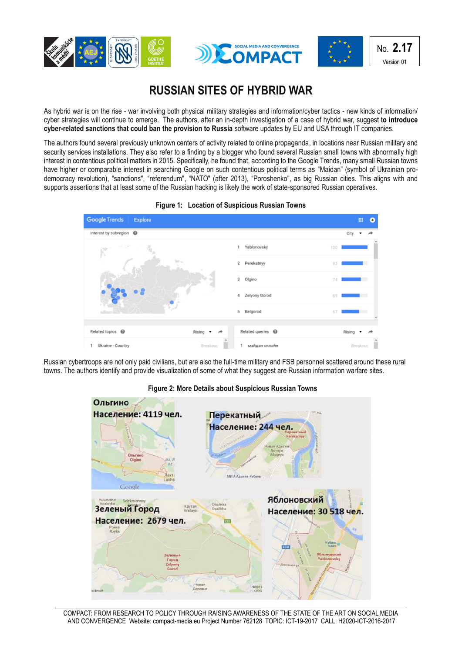





## **RUSSIAN SITES OF HYBRID WAR**

As hybrid war is on the rise - war involving both physical military strategies and information/cyber tactics - new kinds of information/ cyber strategies will continue to emerge. The authors, after an in-depth investigation of a case of hybrid war, suggest t**o introduce cyber-related sanctions that could ban the provision to Russia** software updates by EU and USA through IT companies.

The authors found several previously unknown centers of activity related to online propaganda, in locations near Russian military and security services installations. They also refer to a finding by a blogger who found several Russian small towns with abnormally high interest in contentious political matters in 2015. Specifically, he found that, according to the Google Trends, many small Russian towns have higher or comparable interest in searching Google on such contentious political terms as "Maidan" (symbol of Ukrainian prodemocracy revolution), "sanctions", "referendum", "NATO" (after 2013), "Poroshenko", as big Russian cities. This aligns with and supports assertions that at least some of the Russian hacking is likely the work of state-sponsored Russian operatives.





Russian cybertroops are not only paid civilians, but are also the full-time military and FSB personnel scattered around these rural towns. The authors identify and provide visualization of some of what they suggest are Russian information warfare sites.



 **Figure 2: More Details about Suspicious Russian Towns**

COMPACT: FROM RESEARCH TO POLICY THROUGH RAISING AWARENESS OF THE STATE OF THE ART ON SOCIAL MEDIA AND CONVERGENCE Website: compact-media.eu Project Number 762128 TOPIC: ICT-19-2017 CALL: H2020-ICT-2016-2017